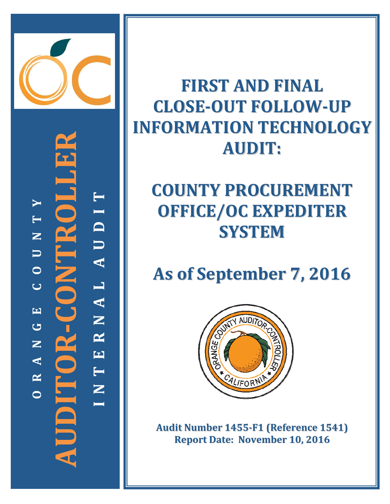

**‐CONTROLLER TYI T D FOR-CONTR N U U A O CL A EN G R AUDITOR NE A T R** 5 **N OI**

**FIRST AND FINAL CLOSE‐OUT FOLLOW‐UP INFORMATION TECHNOLOGY AUDIT:**

# **COUNTY PROCUREMENT OFFICE/OC EXPEDITER SYSTEM**

**As of September 7, 2016**



**Audit Number 1455‐F1 (Reference 1541) Report Date: November 10, 2016**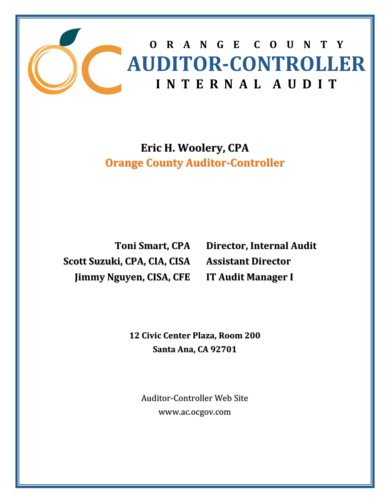

# **Eric H. Woolery, CPA Orange County Auditor‐Controller**

**Toni Smart, CPA Scott Suzuki, CPA, CIA, CISA Jimmy Nguyen, CISA, CFE**

**Director, Internal Audit Assistant Director IT Audit Manager I**

 **12 Civic Center Plaza, Room 200 Santa Ana, CA 92701**

Auditor‐Controller Web Site www.ac.ocgov.com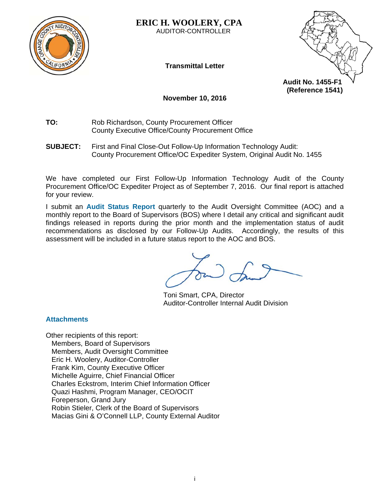

**ERIC H. WOOLERY, CPA**  AUDITOR-CONTROLLER

**Transmittal Letter** 



**November 10, 2016** 

**TO:** Rob Richardson, County Procurement Officer County Executive Office/County Procurement Office

**SUBJECT:** First and Final Close-Out Follow-Up Information Technology Audit: County Procurement Office/OC Expediter System, Original Audit No. 1455

We have completed our First Follow-Up Information Technology Audit of the County Procurement Office/OC Expediter Project as of September 7, 2016. Our final report is attached for your review.

I submit an **Audit Status Report** quarterly to the Audit Oversight Committee (AOC) and a monthly report to the Board of Supervisors (BOS) where I detail any critical and significant audit findings released in reports during the prior month and the implementation status of audit recommendations as disclosed by our Follow-Up Audits. Accordingly, the results of this assessment will be included in a future status report to the AOC and BOS.

Toni Smart, CPA, Director Auditor-Controller Internal Audit Division

**Attachments** 

Other recipients of this report: Members, Board of Supervisors Members, Audit Oversight Committee Eric H. Woolery, Auditor-Controller Frank Kim, County Executive Officer Michelle Aguirre, Chief Financial Officer Charles Eckstrom, Interim Chief Information Officer Quazi Hashmi, Program Manager, CEO/OCIT Foreperson, Grand Jury Robin Stieler, Clerk of the Board of Supervisors Macias Gini & O'Connell LLP, County External Auditor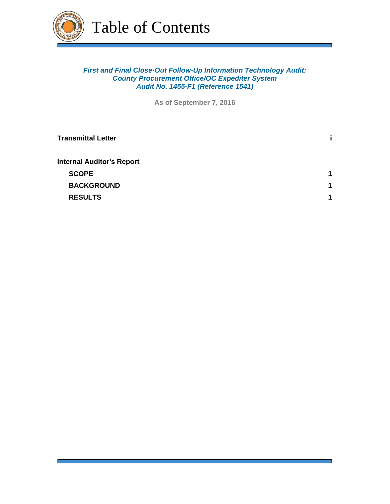

# *First and Final Close-Out Follow-Up Information Technology Audit: County Procurement Office/OC Expediter System Audit No. 1455-F1 (Reference 1541)*

**As of September 7, 2016**

| <b>Transmittal Letter</b>        |   |
|----------------------------------|---|
| <b>Internal Auditor's Report</b> |   |
| <b>SCOPE</b>                     | 1 |
| <b>BACKGROUND</b>                | 1 |
| <b>RESULTS</b>                   | 1 |
|                                  |   |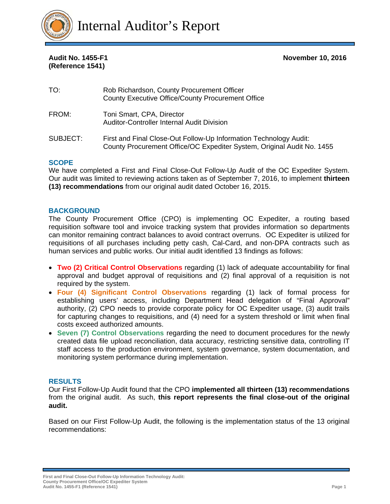

**(Reference 1541)** 

#### **Audit No. 1455-F1 November 10, 2016**

| TO:      | Rob Richardson, County Procurement Officer<br>County Executive Office/County Procurement Office                                             |
|----------|---------------------------------------------------------------------------------------------------------------------------------------------|
| FROM:    | Toni Smart, CPA, Director<br><b>Auditor-Controller Internal Audit Division</b>                                                              |
| SUBJECT: | First and Final Close-Out Follow-Up Information Technology Audit:<br>County Procurement Office/OC Expediter System, Original Audit No. 1455 |

#### **SCOPE**

We have completed a First and Final Close-Out Follow-Up Audit of the OC Expediter System. Our audit was limited to reviewing actions taken as of September 7, 2016, to implement **thirteen (13) recommendations** from our original audit dated October 16, 2015.

#### **BACKGROUND**

The County Procurement Office (CPO) is implementing OC Expediter, a routing based requisition software tool and invoice tracking system that provides information so departments can monitor remaining contract balances to avoid contract overruns. OC Expediter is utilized for requisitions of all purchases including petty cash, Cal-Card, and non-DPA contracts such as human services and public works. Our initial audit identified 13 findings as follows:

- **Two (2) Critical Control Observations** regarding (1) lack of adequate accountability for final approval and budget approval of requisitions and (2) final approval of a requisition is not required by the system.
- **Four (4) Significant Control Observations** regarding (1) lack of formal process for establishing users' access, including Department Head delegation of "Final Approval" authority, (2) CPO needs to provide corporate policy for OC Expediter usage, (3) audit trails for capturing changes to requisitions, and (4) need for a system threshold or limit when final costs exceed authorized amounts.
- **Seven (7) Control Observations** regarding the need to document procedures for the newly created data file upload reconciliation, data accuracy, restricting sensitive data, controlling IT staff access to the production environment, system governance, system documentation, and monitoring system performance during implementation.

#### **RESULTS**

Our First Follow-Up Audit found that the CPO **implemented all thirteen (13) recommendations**  from the original audit. As such, **this report represents the final close-out of the original audit.**

Based on our First Follow-Up Audit, the following is the implementation status of the 13 original recommendations:

**First and Final Close-Out Follow-Up Information Technology Audit: County Procurement Office/OC Expediter System Audit No. 1455-F1 (Reference 1541) Page 1**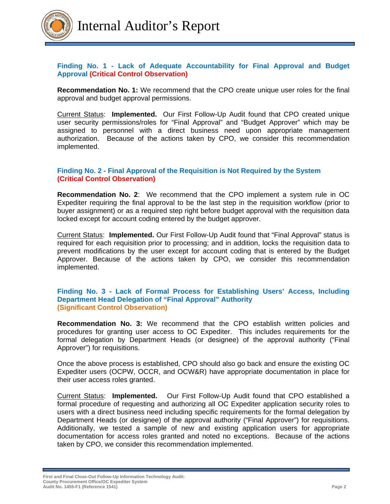

# **Finding No. 1 - Lack of Adequate Accountability for Final Approval and Budget Approval (Critical Control Observation)**

**Recommendation No. 1:** We recommend that the CPO create unique user roles for the final approval and budget approval permissions.

Current Status: **Implemented.** Our First Follow-Up Audit found that CPO created unique user security permissions/roles for "Final Approval" and "Budget Approver" which may be assigned to personnel with a direct business need upon appropriate management authorization. Because of the actions taken by CPO, we consider this recommendation implemented.

# **Finding No. 2 - Final Approval of the Requisition is Not Required by the System (Critical Control Observation)**

**Recommendation No. 2**: We recommend that the CPO implement a system rule in OC Expediter requiring the final approval to be the last step in the requisition workflow (prior to buyer assignment) or as a required step right before budget approval with the requisition data locked except for account coding entered by the budget approver.

Current Status: **Implemented.** Our First Follow-Up Audit found that "Final Approval" status is required for each requisition prior to processing; and in addition, locks the requisition data to prevent modifications by the user except for account coding that is entered by the Budget Approver. Because of the actions taken by CPO, we consider this recommendation implemented.

#### **Finding No. 3 - Lack of Formal Process for Establishing Users' Access, Including Department Head Delegation of "Final Approval" Authority (Significant Control Observation)**

**Recommendation No. 3:** We recommend that the CPO establish written policies and procedures for granting user access to OC Expediter. This includes requirements for the formal delegation by Department Heads (or designee) of the approval authority ("Final Approver") for requisitions.

Once the above process is established, CPO should also go back and ensure the existing OC Expediter users (OCPW, OCCR, and OCW&R) have appropriate documentation in place for their user access roles granted.

Current Status: **Implemented.** Our First Follow-Up Audit found that CPO established a formal procedure of requesting and authorizing all OC Expediter application security roles to users with a direct business need including specific requirements for the formal delegation by Department Heads (or designee) of the approval authority ("Final Approver") for requisitions. Additionally, we tested a sample of new and existing application users for appropriate documentation for access roles granted and noted no exceptions. Because of the actions taken by CPO, we consider this recommendation implemented.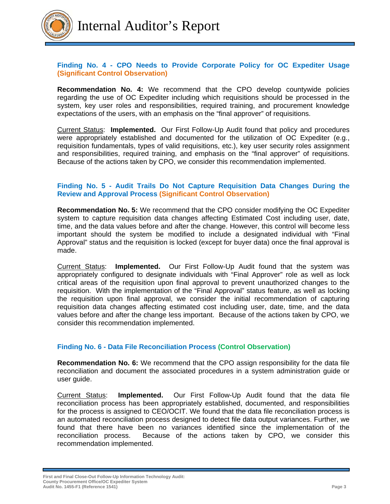

# **Finding No. 4 - CPO Needs to Provide Corporate Policy for OC Expediter Usage (Significant Control Observation)**

**Recommendation No. 4:** We recommend that the CPO develop countywide policies regarding the use of OC Expediter including which requisitions should be processed in the system, key user roles and responsibilities, required training, and procurement knowledge expectations of the users, with an emphasis on the "final approver" of requisitions.

Current Status: **Implemented.** Our First Follow-Up Audit found that policy and procedures were appropriately established and documented for the utilization of OC Expediter (e.g., requisition fundamentals, types of valid requisitions, etc.), key user security roles assignment and responsibilities, required training, and emphasis on the "final approver" of requisitions. Because of the actions taken by CPO, we consider this recommendation implemented.

### **Finding No. 5 - Audit Trails Do Not Capture Requisition Data Changes During the Review and Approval Process (Significant Control Observation)**

**Recommendation No. 5:** We recommend that the CPO consider modifying the OC Expediter system to capture requisition data changes affecting Estimated Cost including user, date, time, and the data values before and after the change. However, this control will become less important should the system be modified to include a designated individual with "Final Approval" status and the requisition is locked (except for buyer data) once the final approval is made.

Current Status: **Implemented.** Our First Follow-Up Audit found that the system was appropriately configured to designate individuals with "Final Approver" role as well as lock critical areas of the requisition upon final approval to prevent unauthorized changes to the requisition. With the implementation of the "Final Approval" status feature, as well as locking the requisition upon final approval, we consider the initial recommendation of capturing requisition data changes affecting estimated cost including user, date, time, and the data values before and after the change less important. Because of the actions taken by CPO, we consider this recommendation implemented.

### **Finding No. 6 - Data File Reconciliation Process (Control Observation)**

**Recommendation No. 6:** We recommend that the CPO assign responsibility for the data file reconciliation and document the associated procedures in a system administration guide or user guide.

Current Status: **Implemented.** Our First Follow-Up Audit found that the data file reconciliation process has been appropriately established, documented, and responsibilities for the process is assigned to CEO/OCIT. We found that the data file reconciliation process is an automated reconciliation process designed to detect file data output variances. Further, we found that there have been no variances identified since the implementation of the reconciliation process. Because of the actions taken by CPO, we consider this recommendation implemented.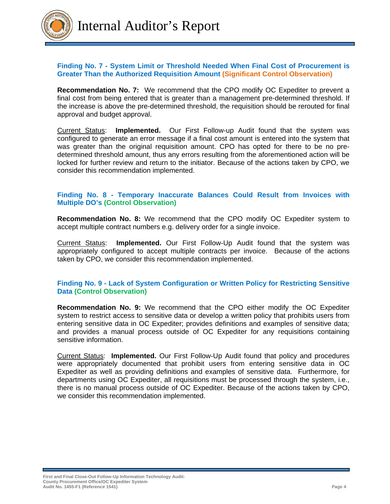

Internal Auditor's Report

### **Finding No. 7 - System Limit or Threshold Needed When Final Cost of Procurement is Greater Than the Authorized Requisition Amount (Significant Control Observation)**

**Recommendation No. 7:** We recommend that the CPO modify OC Expediter to prevent a final cost from being entered that is greater than a management pre-determined threshold. If the increase is above the pre-determined threshold, the requisition should be rerouted for final approval and budget approval.

Current Status: **Implemented.** Our First Follow-up Audit found that the system was configured to generate an error message if a final cost amount is entered into the system that was greater than the original requisition amount. CPO has opted for there to be no predetermined threshold amount, thus any errors resulting from the aforementioned action will be locked for further review and return to the initiator. Because of the actions taken by CPO, we consider this recommendation implemented.

# **Finding No. 8 - Temporary Inaccurate Balances Could Result from Invoices with Multiple DO's (Control Observation)**

**Recommendation No. 8:** We recommend that the CPO modify OC Expediter system to accept multiple contract numbers e.g. delivery order for a single invoice.

Current Status: **Implemented.** Our First Follow-Up Audit found that the system was appropriately configured to accept multiple contracts per invoice. Because of the actions taken by CPO, we consider this recommendation implemented.

#### **Finding No. 9 - Lack of System Configuration or Written Policy for Restricting Sensitive Data (Control Observation)**

**Recommendation No. 9:** We recommend that the CPO either modify the OC Expediter system to restrict access to sensitive data or develop a written policy that prohibits users from entering sensitive data in OC Expediter; provides definitions and examples of sensitive data; and provides a manual process outside of OC Expediter for any requisitions containing sensitive information.

Current Status: **Implemented.** Our First Follow-Up Audit found that policy and procedures were appropriately documented that prohibit users from entering sensitive data in OC Expediter as well as providing definitions and examples of sensitive data. Furthermore, for departments using OC Expediter, all requisitions must be processed through the system, i.e., there is no manual process outside of OC Expediter. Because of the actions taken by CPO, we consider this recommendation implemented.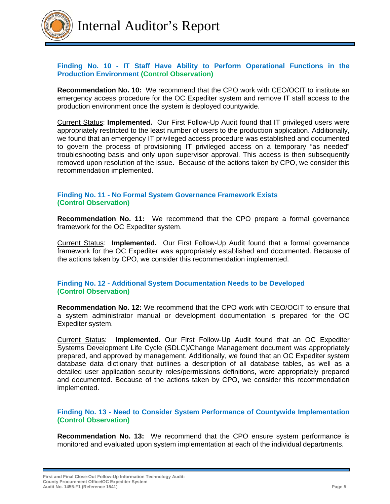

# **Finding No. 10 - IT Staff Have Ability to Perform Operational Functions in the Production Environment (Control Observation)**

**Recommendation No. 10:** We recommend that the CPO work with CEO/OCIT to institute an emergency access procedure for the OC Expediter system and remove IT staff access to the production environment once the system is deployed countywide.

Current Status: **Implemented.** Our First Follow-Up Audit found that IT privileged users were appropriately restricted to the least number of users to the production application. Additionally, we found that an emergency IT privileged access procedure was established and documented to govern the process of provisioning IT privileged access on a temporary "as needed" troubleshooting basis and only upon supervisor approval. This access is then subsequently removed upon resolution of the issue. Because of the actions taken by CPO, we consider this recommendation implemented.

# **Finding No. 11 - No Formal System Governance Framework Exists (Control Observation)**

**Recommendation No. 11:** We recommend that the CPO prepare a formal governance framework for the OC Expediter system.

Current Status: **Implemented.** Our First Follow-Up Audit found that a formal governance framework for the OC Expediter was appropriately established and documented. Because of the actions taken by CPO, we consider this recommendation implemented.

### **Finding No. 12 - Additional System Documentation Needs to be Developed (Control Observation)**

**Recommendation No. 12:** We recommend that the CPO work with CEO/OCIT to ensure that a system administrator manual or development documentation is prepared for the OC Expediter system.

Current Status: **Implemented.** Our First Follow-Up Audit found that an OC Expediter Systems Development Life Cycle (SDLC)/Change Management document was appropriately prepared, and approved by management. Additionally, we found that an OC Expediter system database data dictionary that outlines a description of all database tables, as well as a detailed user application security roles/permissions definitions, were appropriately prepared and documented. Because of the actions taken by CPO, we consider this recommendation implemented.

#### **Finding No. 13 - Need to Consider System Performance of Countywide Implementation (Control Observation)**

**Recommendation No. 13:** We recommend that the CPO ensure system performance is monitored and evaluated upon system implementation at each of the individual departments.